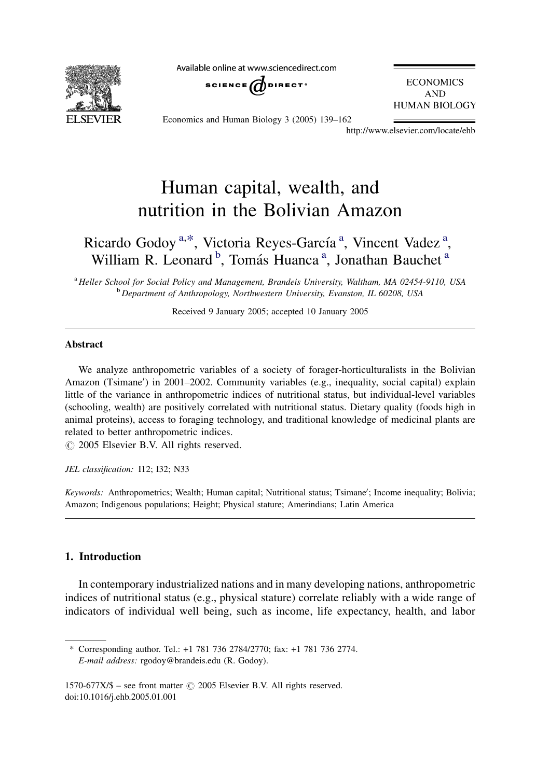**FI SEVIER** 

Available online at www.sciencedirect.com



**ECONOMICS AND HUMAN BIOLOGY** 

Economics and Human Biology 3 (2005) 139–162

http://www.elsevier.com/locate/ehb

## Human capital, wealth, and nutrition in the Bolivian Amazon

### Ricardo Godoy<sup>a,\*</sup>, Victoria Reyes-García<sup>a</sup>, Vincent Vadez<sup>a</sup>, William R. Leonard<sup>b</sup>, Tomás Huanca<sup>a</sup>, Jonathan Bauchet<sup>a</sup>

<sup>a</sup> Heller School for Social Policy and Management, Brandeis University, Waltham, MA 02454-9110, USA <sup>b</sup> Department of Anthropology, Northwestern University, Evanston, IL 60208, USA

Received 9 January 2005; accepted 10 January 2005

#### Abstract

We analyze anthropometric variables of a society of forager-horticulturalists in the Bolivian Amazon (Tsimane') in 2001-2002. Community variables (e.g., inequality, social capital) explain little of the variance in anthropometric indices of nutritional status, but individual-level variables (schooling, wealth) are positively correlated with nutritional status. Dietary quality (foods high in animal proteins), access to foraging technology, and traditional knowledge of medicinal plants are related to better anthropometric indices.

 $\odot$  2005 Elsevier B.V. All rights reserved.

JEL classification: I12; I32; N33

Keywords: Anthropometrics; Wealth; Human capital; Nutritional status; Tsimane'; Income inequality; Bolivia; Amazon; Indigenous populations; Height; Physical stature; Amerindians; Latin America

#### 1. Introduction

In contemporary industrialized nations and in many developing nations, anthropometric indices of nutritional status (e.g., physical stature) correlate reliably with a wide range of indicators of individual well being, such as income, life expectancy, health, and labor

<sup>\*</sup> Corresponding author. Tel.: +1 781 736 2784/2770; fax: +1 781 736 2774. E-mail address: rgodoy@brandeis.edu (R. Godoy).

<sup>1570-677</sup>X/\$ – see front matter  $\odot$  2005 Elsevier B.V. All rights reserved. doi:10.1016/j.ehb.2005.01.001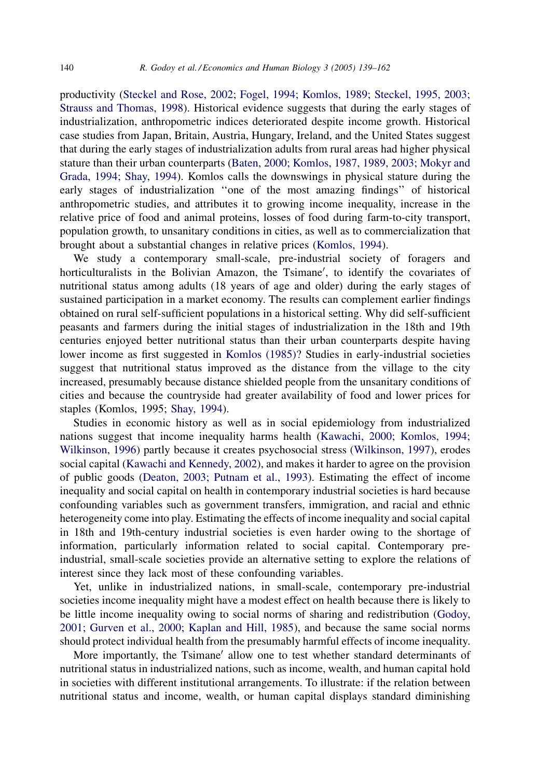productivity ([Steckel and Rose, 2002; Fogel, 1994; Komlos, 1989; Steckel, 1995, 2003;](#page--1-0) [Strauss and Thomas, 1998](#page--1-0)). Historical evidence suggests that during the early stages of industrialization, anthropometric indices deteriorated despite income growth. Historical case studies from Japan, Britain, Austria, Hungary, Ireland, and the United States suggest that during the early stages of industrialization adults from rural areas had higher physical stature than their urban counterparts [\(Baten, 2000; Komlos, 1987, 1989, 2003; Mokyr and](#page--1-0) [Grada, 1994; Shay, 1994\)](#page--1-0). Komlos calls the downswings in physical stature during the early stages of industrialization ''one of the most amazing findings'' of historical anthropometric studies, and attributes it to growing income inequality, increase in the relative price of food and animal proteins, losses of food during farm-to-city transport, population growth, to unsanitary conditions in cities, as well as to commercialization that brought about a substantial changes in relative prices ([Komlos, 1994\)](#page--1-0).

We study a contemporary small-scale, pre-industrial society of foragers and horticulturalists in the Bolivian Amazon, the Tsimane', to identify the covariates of nutritional status among adults (18 years of age and older) during the early stages of sustained participation in a market economy. The results can complement earlier findings obtained on rural self-sufficient populations in a historical setting. Why did self-sufficient peasants and farmers during the initial stages of industrialization in the 18th and 19th centuries enjoyed better nutritional status than their urban counterparts despite having lower income as first suggested in [Komlos \(1985\)?](#page--1-0) Studies in early-industrial societies suggest that nutritional status improved as the distance from the village to the city increased, presumably because distance shielded people from the unsanitary conditions of cities and because the countryside had greater availability of food and lower prices for staples (Komlos, 1995; [Shay, 1994\)](#page--1-0).

Studies in economic history as well as in social epidemiology from industrialized nations suggest that income inequality harms health [\(Kawachi, 2000; Komlos, 1994;](#page--1-0) [Wilkinson, 1996](#page--1-0)) partly because it creates psychosocial stress [\(Wilkinson, 1997](#page--1-0)), erodes social capital [\(Kawachi and Kennedy, 2002\)](#page--1-0), and makes it harder to agree on the provision of public goods ([Deaton, 2003; Putnam et al., 1993](#page--1-0)). Estimating the effect of income inequality and social capital on health in contemporary industrial societies is hard because confounding variables such as government transfers, immigration, and racial and ethnic heterogeneity come into play. Estimating the effects of income inequality and social capital in 18th and 19th-century industrial societies is even harder owing to the shortage of information, particularly information related to social capital. Contemporary preindustrial, small-scale societies provide an alternative setting to explore the relations of interest since they lack most of these confounding variables.

Yet, unlike in industrialized nations, in small-scale, contemporary pre-industrial societies income inequality might have a modest effect on health because there is likely to be little income inequality owing to social norms of sharing and redistribution ([Godoy,](#page--1-0) [2001; Gurven et al., 2000; Kaplan and Hill, 1985\)](#page--1-0), and because the same social norms should protect individual health from the presumably harmful effects of income inequality.

More importantly, the Tsimane' allow one to test whether standard determinants of nutritional status in industrialized nations, such as income, wealth, and human capital hold in societies with different institutional arrangements. To illustrate: if the relation between nutritional status and income, wealth, or human capital displays standard diminishing